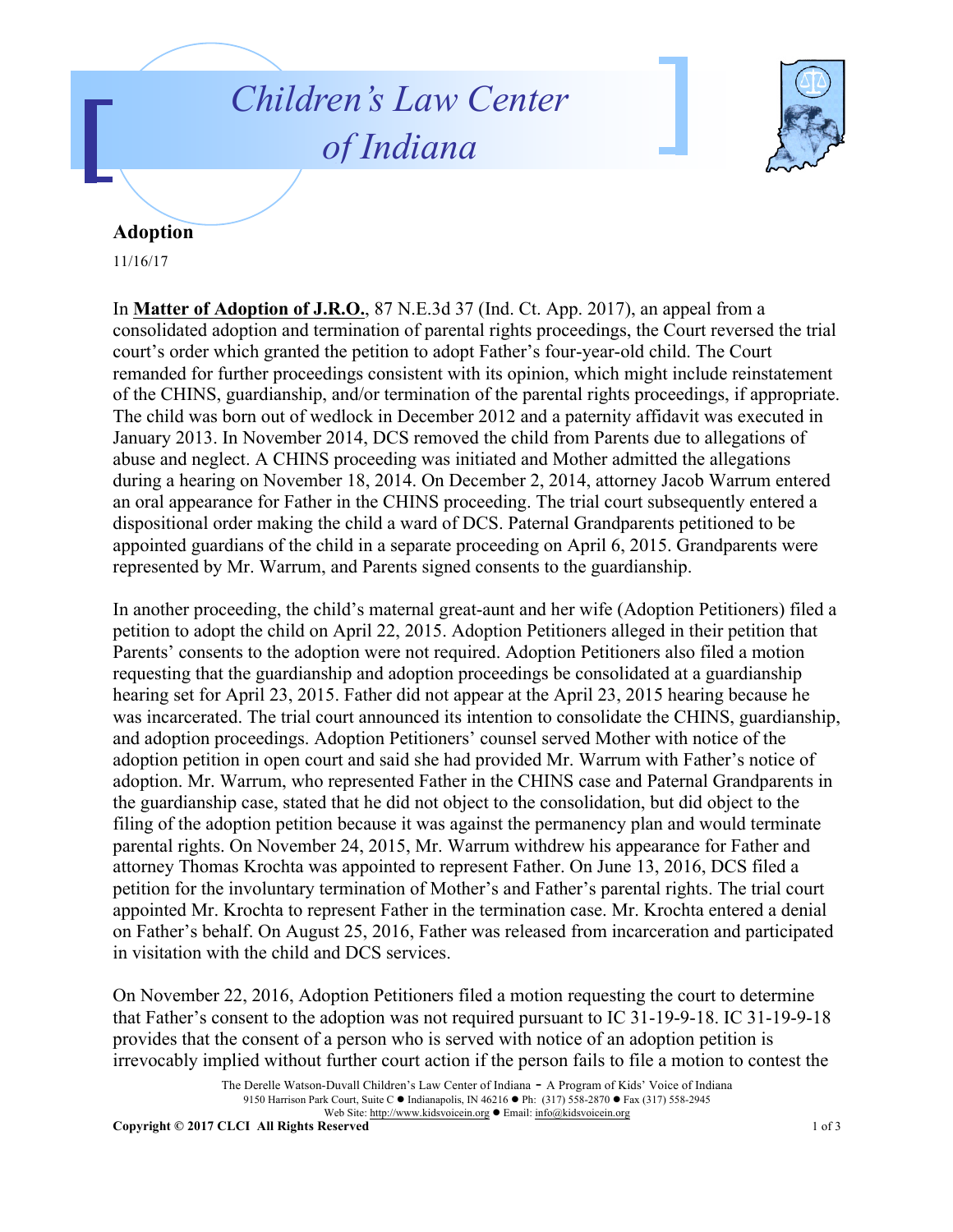## *Children's Law Center of Indiana*



## **Adoption**

11/16/17

In **Matter of Adoption of J.R.O.**, 87 N.E.3d 37 (Ind. Ct. App. 2017), an appeal from a consolidated adoption and termination of parental rights proceedings, the Court reversed the trial court's order which granted the petition to adopt Father's four-year-old child. The Court remanded for further proceedings consistent with its opinion, which might include reinstatement of the CHINS, guardianship, and/or termination of the parental rights proceedings, if appropriate. The child was born out of wedlock in December 2012 and a paternity affidavit was executed in January 2013. In November 2014, DCS removed the child from Parents due to allegations of abuse and neglect. A CHINS proceeding was initiated and Mother admitted the allegations during a hearing on November 18, 2014. On December 2, 2014, attorney Jacob Warrum entered an oral appearance for Father in the CHINS proceeding. The trial court subsequently entered a dispositional order making the child a ward of DCS. Paternal Grandparents petitioned to be appointed guardians of the child in a separate proceeding on April 6, 2015. Grandparents were represented by Mr. Warrum, and Parents signed consents to the guardianship.

In another proceeding, the child's maternal great-aunt and her wife (Adoption Petitioners) filed a petition to adopt the child on April 22, 2015. Adoption Petitioners alleged in their petition that Parents' consents to the adoption were not required. Adoption Petitioners also filed a motion requesting that the guardianship and adoption proceedings be consolidated at a guardianship hearing set for April 23, 2015. Father did not appear at the April 23, 2015 hearing because he was incarcerated. The trial court announced its intention to consolidate the CHINS, guardianship, and adoption proceedings. Adoption Petitioners' counsel served Mother with notice of the adoption petition in open court and said she had provided Mr. Warrum with Father's notice of adoption. Mr. Warrum, who represented Father in the CHINS case and Paternal Grandparents in the guardianship case, stated that he did not object to the consolidation, but did object to the filing of the adoption petition because it was against the permanency plan and would terminate parental rights. On November 24, 2015, Mr. Warrum withdrew his appearance for Father and attorney Thomas Krochta was appointed to represent Father. On June 13, 2016, DCS filed a petition for the involuntary termination of Mother's and Father's parental rights. The trial court appointed Mr. Krochta to represent Father in the termination case. Mr. Krochta entered a denial on Father's behalf. On August 25, 2016, Father was released from incarceration and participated in visitation with the child and DCS services.

On November 22, 2016, Adoption Petitioners filed a motion requesting the court to determine that Father's consent to the adoption was not required pursuant to IC 31-19-9-18. IC 31-19-9-18 provides that the consent of a person who is served with notice of an adoption petition is irrevocably implied without further court action if the person fails to file a motion to contest the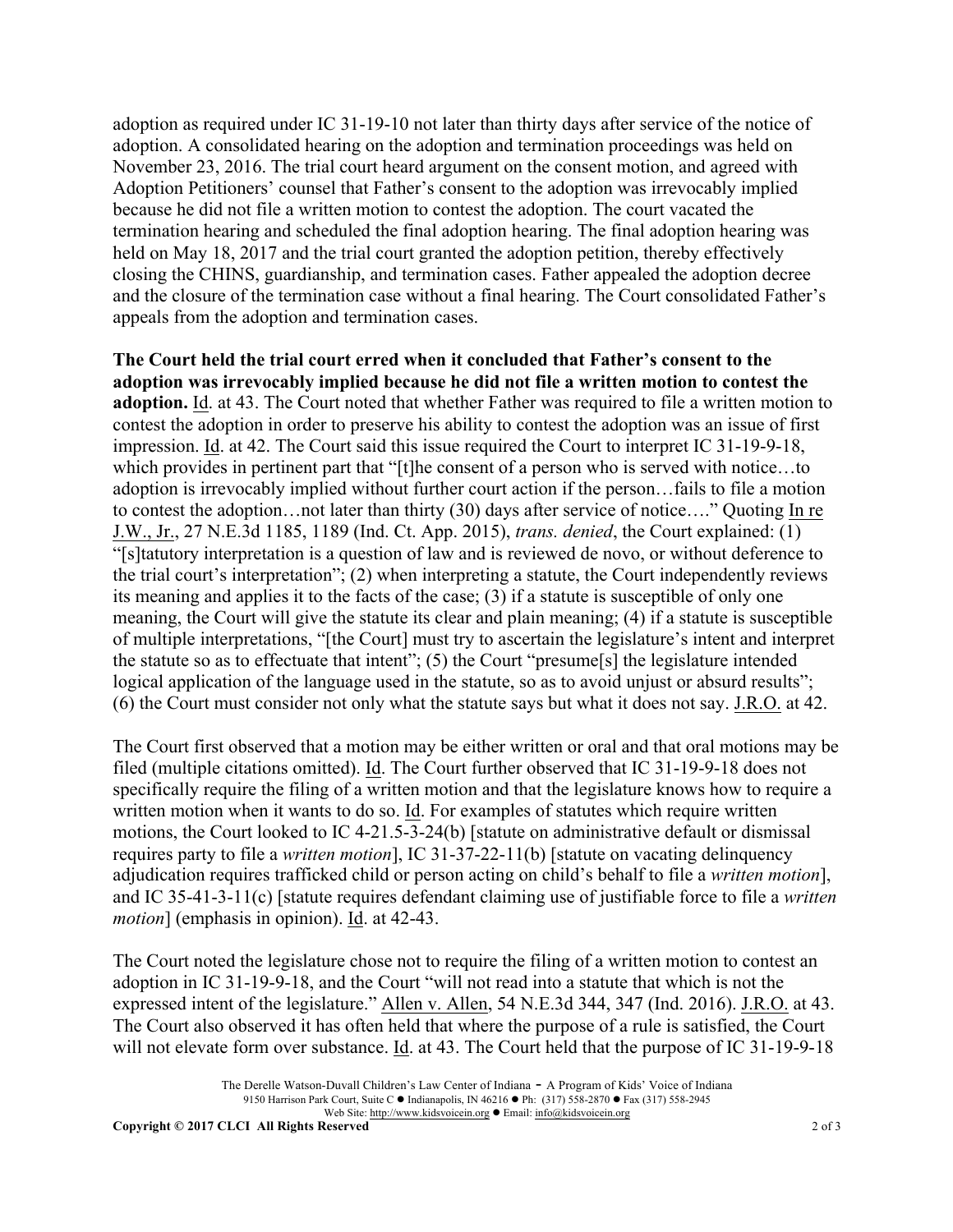adoption as required under IC 31-19-10 not later than thirty days after service of the notice of adoption. A consolidated hearing on the adoption and termination proceedings was held on November 23, 2016. The trial court heard argument on the consent motion, and agreed with Adoption Petitioners' counsel that Father's consent to the adoption was irrevocably implied because he did not file a written motion to contest the adoption. The court vacated the termination hearing and scheduled the final adoption hearing. The final adoption hearing was held on May 18, 2017 and the trial court granted the adoption petition, thereby effectively closing the CHINS, guardianship, and termination cases. Father appealed the adoption decree and the closure of the termination case without a final hearing. The Court consolidated Father's appeals from the adoption and termination cases.

**The Court held the trial court erred when it concluded that Father's consent to the adoption was irrevocably implied because he did not file a written motion to contest the adoption.** Id. at 43. The Court noted that whether Father was required to file a written motion to contest the adoption in order to preserve his ability to contest the adoption was an issue of first impression. Id. at 42. The Court said this issue required the Court to interpret IC 31-19-9-18, which provides in pertinent part that "[t]he consent of a person who is served with notice...to adoption is irrevocably implied without further court action if the person…fails to file a motion to contest the adoption…not later than thirty (30) days after service of notice…." Quoting In re J.W., Jr., 27 N.E.3d 1185, 1189 (Ind. Ct. App. 2015), *trans. denied*, the Court explained: (1) "[s]tatutory interpretation is a question of law and is reviewed de novo, or without deference to the trial court's interpretation"; (2) when interpreting a statute, the Court independently reviews its meaning and applies it to the facts of the case; (3) if a statute is susceptible of only one meaning, the Court will give the statute its clear and plain meaning; (4) if a statute is susceptible of multiple interpretations, "[the Court] must try to ascertain the legislature's intent and interpret the statute so as to effectuate that intent"; (5) the Court "presume[s] the legislature intended logical application of the language used in the statute, so as to avoid unjust or absurd results"; (6) the Court must consider not only what the statute says but what it does not say. J.R.O. at 42.

The Court first observed that a motion may be either written or oral and that oral motions may be filed (multiple citations omitted). Id. The Court further observed that IC 31-19-9-18 does not specifically require the filing of a written motion and that the legislature knows how to require a written motion when it wants to do so. Id. For examples of statutes which require written motions, the Court looked to IC 4-21.5-3-24(b) [statute on administrative default or dismissal requires party to file a *written motion*], IC 31-37-22-11(b) [statute on vacating delinquency adjudication requires trafficked child or person acting on child's behalf to file a *written motion*], and IC 35-41-3-11(c) [statute requires defendant claiming use of justifiable force to file a *written motion*] (emphasis in opinion). Id. at 42-43.

The Court noted the legislature chose not to require the filing of a written motion to contest an adoption in IC 31-19-9-18, and the Court "will not read into a statute that which is not the expressed intent of the legislature." Allen v. Allen, 54 N.E.3d 344, 347 (Ind. 2016). J.R.O. at 43. The Court also observed it has often held that where the purpose of a rule is satisfied, the Court will not elevate form over substance. Id. at 43. The Court held that the purpose of IC 31-19-9-18